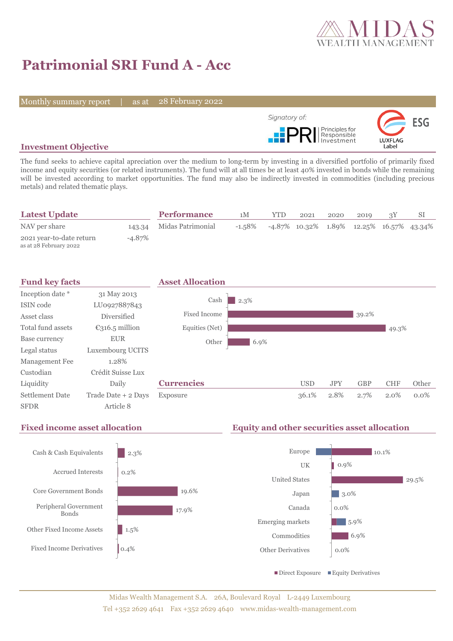

# **Patrimonial SRI Fund A - Acc**

Monthly summary report | as at

28 February 2022



### **Investment Objective**

The fund seeks to achieve capital apreciation over the medium to long-term by investing in a diversified portfolio of primarily fixed income and equity securities (or related instruments). The fund will at all times be at least 40% invested in bonds while the remaining will be invested according to market opportunities. The fund may also be indirectly invested in commodities (including precious metals) and related thematic plays.

| <b>Latest Update</b>                               |        | <b>Performance</b>       | 1М     | <b>YTD</b> | 2021                                             | 2020 | 2019 |  |
|----------------------------------------------------|--------|--------------------------|--------|------------|--------------------------------------------------|------|------|--|
| NAV per share                                      |        | 143.34 Midas Patrimonial | -1.58% |            | $-4.87\%$ 10.32\% 1.89\% 12.25\% 16.57\% 43.34\% |      |      |  |
| 2021 year-to-date return<br>as at 28 February 2022 | -4.87% |                          |        |            |                                                  |      |      |  |



## **Fixed income asset allocation Equity and other securities asset allocation**

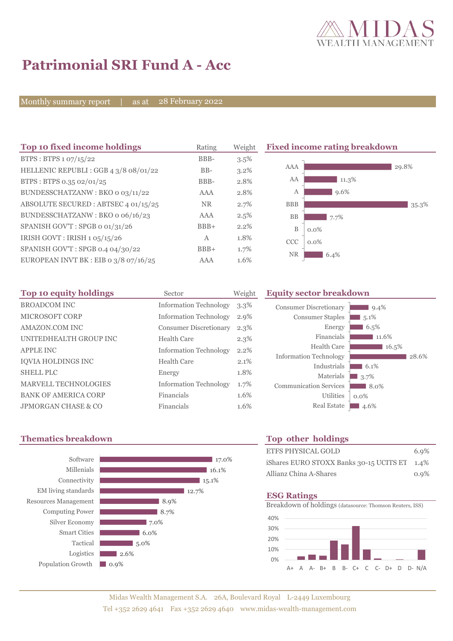

# **Patrimonial SRI Fund A - Acc**

Monthly summary report | as at 28 February 2022

| Top 10 fixed income holdings          | Rating    | Weight  | <b>Fixed income rating breakdown</b> |  |
|---------------------------------------|-----------|---------|--------------------------------------|--|
| BTPS: BTPS 1 07/15/22                 | BBB-      | 3.5%    |                                      |  |
| HELLENIC REPUBLI: GGB 4 3/8 08/01/22  | $BB-$     | $3.2\%$ | AAA<br>29.8%                         |  |
| BTPS: BTPS 0.35 02/01/25              | BBB-      | 2.8%    | AA<br>$11.3\%$                       |  |
| BUNDESSCHATZANW: BKO o 03/11/22       | AAA       | 2.8%    | 9.6%<br>А                            |  |
| ABSOLUTE SECURED: ABTSEC 4 01/15/25   | <b>NR</b> | 2.7%    | <b>BBB</b><br>35.3%                  |  |
| BUNDESSCHATZANW: BKO o 06/16/23       | AAA       | 2.5%    | <b>BB</b><br>7.7%                    |  |
| SPANISH GOV'T: SPGB o 01/31/26        | $BBB+$    | 2.2%    | B<br>$0.0\%$                         |  |
| IRISH GOVT : IRISH $1.05/15/26$       | A         | 1.8%    | <b>CCC</b><br>$0.0\%$                |  |
| SPANISH GOV'T: SPGB 0.4 04/30/22      | $BBB+$    | 1.7%    |                                      |  |
| EUROPEAN INVT BK : EIB 0 3/8 07/16/25 | AAA       | 1.6%    | <b>NR</b><br>6.4%                    |  |

| Top 10 equity holdings      | Sector                        | Weight  |
|-----------------------------|-------------------------------|---------|
| <b>BROADCOM INC</b>         | <b>Information Technology</b> | $3.3\%$ |
| <b>MICROSOFT CORP</b>       | <b>Information Technology</b> | 2.9%    |
| AMAZON.COM INC              | <b>Consumer Discretionary</b> | 2.3%    |
| UNITEDHEALTH GROUP INC      | Health Care                   | 2.3%    |
| <b>APPLE INC</b>            | <b>Information Technology</b> | 2.2%    |
| <b>IOVIA HOLDINGS INC</b>   | Health Care                   | 2.1%    |
| <b>SHELL PLC</b>            | Energy                        | 1.8%    |
| <b>MARVELL TECHNOLOGIES</b> | <b>Information Technology</b> | 1.7%    |
| <b>BANK OF AMERICA CORP</b> | Financials                    | 1.6%    |
| JPMORGAN CHASE & CO         | Financials                    | 1.6%    |

### **Equity sector breakdown**

| <b>Consumer Discretionary</b> | $9.4\%$ |
|-------------------------------|---------|
| <b>Consumer Staples</b>       | 5.1%    |
| Energy                        | 6.5%    |
| Financials                    | 11.6%   |
| Health Care                   | 16.5%   |
| <b>Information Technology</b> | 28.6%   |
| Industrials                   | 6.1%    |
| Materials                     | 3.7%    |
| <b>Communication Services</b> | 8.0%    |
| <b>Utilities</b>              | $0.0\%$ |
| <b>Real Estate</b>            | 4.6%    |
|                               |         |

### **Thematics breakdown Top other holdings**



| ETFS PHYSICAL GOLD                           | 6.9% |
|----------------------------------------------|------|
| iShares EURO STOXX Banks 30-15 UCITS ET 1.4% |      |
| Allianz China A-Shares                       | 0.9% |

### **ESG Ratings**

Breakdown of holdings (datasource: Thomson Reuters, ISS)